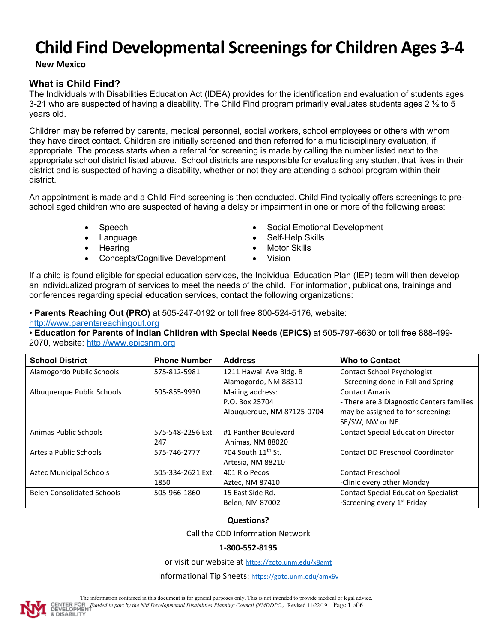**New Mexico**

# **What is Child Find?**

The Individuals with Disabilities Education Act (IDEA) provides for the identification and evaluation of students ages 3-21 who are suspected of having a disability. The Child Find program primarily evaluates students ages 2  $\frac{1}{2}$  to 5 years old.

Children may be referred by parents, medical personnel, social workers, school employees or others with whom they have direct contact. Children are initially screened and then referred for a multidisciplinary evaluation, if appropriate. The process starts when a referral for screening is made by calling the number listed next to the appropriate school district listed above. School districts are responsible for evaluating any student that lives in their district and is suspected of having a disability, whether or not they are attending a school program within their district.

An appointment is made and a Child Find screening is then conducted. Child Find typically offers screenings to preschool aged children who are suspected of having a delay or impairment in one or more of the following areas:

- 
- 
- 
- Concepts/Cognitive Development Vision
- Speech Social Emotional Development
- **Language Self-Help Skills**
- **Frame •** Motor Skills
	-

If a child is found eligible for special education services, the Individual Education Plan (IEP) team will then develop an individualized program of services to meet the needs of the child. For information, publications, trainings and conferences regarding special education services, contact the following organizations:

• **Parents Reaching Out (PRO)** at 505-247-0192 or toll free 800-524-5176, website: [http://www.parentsreachingout.org](http://www.parentsreachingout.org/)

• **Education for Parents of Indian Children with Special Needs (EPICS)** at 505-797-6630 or toll free 888-499- 2070, website: [http://www.epicsnm.org](http://www.epicsnm.org/)

| <b>School District</b>            | <b>Phone Number</b> | <b>Address</b>                 | <b>Who to Contact</b>                       |
|-----------------------------------|---------------------|--------------------------------|---------------------------------------------|
| Alamogordo Public Schools         | 575-812-5981        | 1211 Hawaii Ave Bldg. B        | <b>Contact School Psychologist</b>          |
|                                   |                     | Alamogordo, NM 88310           | - Screening done in Fall and Spring         |
| Albuquerque Public Schools        | 505-855-9930        | Mailing address:               | <b>Contact Amaris</b>                       |
|                                   |                     | P.O. Box 25704                 | - There are 3 Diagnostic Centers families   |
|                                   |                     | Albuquerque, NM 87125-0704     | may be assigned to for screening:           |
|                                   |                     |                                | SE/SW, NW or NE.                            |
| Animas Public Schools             | 575-548-2296 Ext.   | #1 Panther Boulevard           | <b>Contact Special Education Director</b>   |
|                                   | 247                 | Animas, NM 88020               |                                             |
| Artesia Public Schools            | 575-746-2777        | 704 South 11 <sup>th</sup> St. | <b>Contact DD Preschool Coordinator</b>     |
|                                   |                     | Artesia, NM 88210              |                                             |
| <b>Aztec Municipal Schools</b>    | 505-334-2621 Ext.   | 401 Rio Pecos                  | <b>Contact Preschool</b>                    |
|                                   | 1850                | Aztec, NM 87410                | -Clinic every other Monday                  |
| <b>Belen Consolidated Schools</b> | 505-966-1860        | 15 East Side Rd.               | <b>Contact Special Education Specialist</b> |
|                                   |                     | Belen, NM 87002                | -Screening every 1 <sup>st</sup> Friday     |

## **Questions?**

Call the CDD Information Network

## **1-800-552-8195**

or visit our website a[t https://goto.unm.edu/x8gmt](https://goto.unm.edu/x8gmt)

Informational Tip Sheets[: https://goto.unm.edu/amx6v](https://goto.unm.edu/amx6v)



The information contained in this document is for general purposes only. This is not intended to provide medical or legal advice. *Funded in part by the NM Developmental Disabilities Planning Council (NMDDPC.)* Revised 11/22/19 Page **1** of **6 DISABILIT**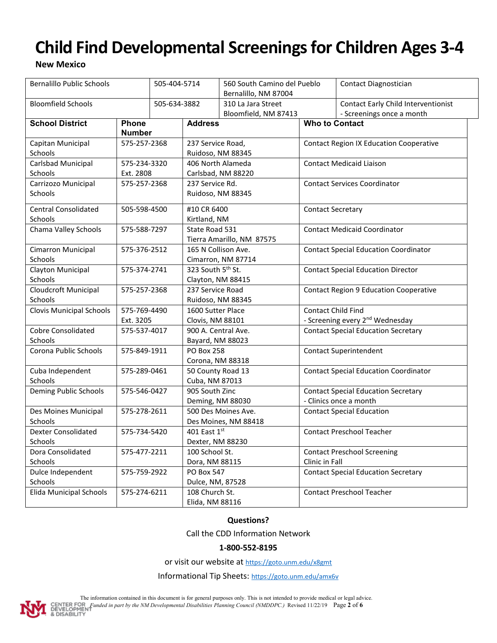**New Mexico**

| <b>Bernalillo Public Schools</b>       |                              | 505-404-5714                   |                                             | 560 South Camino del Pueblo<br>Bernalillo, NM 87004 |                                                | Contact Diagnostician                                                   |  |
|----------------------------------------|------------------------------|--------------------------------|---------------------------------------------|-----------------------------------------------------|------------------------------------------------|-------------------------------------------------------------------------|--|
| <b>Bloomfield Schools</b>              |                              | 505-634-3882                   |                                             | 310 La Jara Street<br>Bloomfield, NM 87413          |                                                | <b>Contact Early Child Interventionist</b><br>- Screenings once a month |  |
| <b>School District</b>                 | Phone                        | <b>Number</b>                  |                                             | <b>Address</b>                                      |                                                | <b>Who to Contact</b>                                                   |  |
| Capitan Municipal<br>Schools           | 575-257-2368                 |                                | 237 Service Road,<br>Ruidoso, NM 88345      |                                                     | <b>Contact Region IX Education Cooperative</b> |                                                                         |  |
| Carlsbad Municipal                     | 575-234-3320                 |                                | 406 North Alameda                           |                                                     | <b>Contact Medicaid Liaison</b>                |                                                                         |  |
| Schools                                | Ext. 2808                    |                                | Carlsbad, NM 88220                          |                                                     |                                                |                                                                         |  |
| Carrizozo Municipal<br>Schools         | 575-257-2368                 |                                | 237 Service Rd.<br>Ruidoso, NM 88345        |                                                     | <b>Contact Services Coordinator</b>            |                                                                         |  |
| <b>Central Consolidated</b><br>Schools |                              | 505-598-4500                   |                                             | #10 CR 6400<br>Kirtland, NM                         |                                                | <b>Contact Secretary</b>                                                |  |
| Chama Valley Schools                   | 575-588-7297                 |                                | State Road 531<br>Tierra Amarillo, NM 87575 |                                                     | <b>Contact Medicaid Coordinator</b>            |                                                                         |  |
| Cimarron Municipal<br>Schools          | 575-376-2512                 |                                | 165 N Collison Ave.<br>Cimarron, NM 87714   |                                                     | <b>Contact Special Education Coordinator</b>   |                                                                         |  |
| Clayton Municipal                      | 575-374-2741                 |                                | 323 South 5th St.                           |                                                     |                                                | <b>Contact Special Education Director</b>                               |  |
| Schools                                |                              |                                | Clayton, NM 88415                           |                                                     |                                                |                                                                         |  |
| Cloudcroft Municipal                   | 575-257-2368                 |                                | 237 Service Road                            |                                                     |                                                | <b>Contact Region 9 Education Cooperative</b>                           |  |
| Schools                                |                              |                                |                                             | Ruidoso, NM 88345                                   |                                                |                                                                         |  |
| <b>Clovis Municipal Schools</b>        | 575-769-4490                 |                                | 1600 Sutter Place                           |                                                     |                                                | Contact Child Find                                                      |  |
|                                        | Ext. 3205                    | Clovis, NM 88101               |                                             |                                                     |                                                | - Screening every 2 <sup>nd</sup> Wednesday                             |  |
| <b>Cobre Consolidated</b>              | 575-537-4017                 |                                | 900 A. Central Ave.<br>Bayard, NM 88023     |                                                     |                                                | <b>Contact Special Education Secretary</b>                              |  |
| Schools                                |                              |                                |                                             |                                                     |                                                |                                                                         |  |
| Corona Public Schools                  | 575-849-1911                 |                                | <b>PO Box 258</b><br>Corona, NM 88318       |                                                     |                                                | <b>Contact Superintendent</b>                                           |  |
| Cuba Independent                       | 575-289-0461                 |                                |                                             | 50 County Road 13                                   |                                                | <b>Contact Special Education Coordinator</b>                            |  |
| Schools                                |                              | Cuba, NM 87013                 |                                             |                                                     |                                                |                                                                         |  |
| Deming Public Schools                  | 575-546-0427                 |                                | 905 South Zinc                              |                                                     | <b>Contact Special Education Secretary</b>     |                                                                         |  |
|                                        |                              |                                |                                             | Deming, NM 88030                                    |                                                | - Clinics once a month                                                  |  |
| Des Moines Municipal<br>Schools        | 575-278-2611                 | 500 Des Moines Ave.            |                                             | Des Moines, NM 88418                                |                                                | <b>Contact Special Education</b>                                        |  |
| <b>Dexter Consolidated</b>             | 401 East 1st<br>575-734-5420 |                                |                                             |                                                     | <b>Contact Preschool Teacher</b>               |                                                                         |  |
| Schools                                | Dexter, NM 88230             |                                |                                             |                                                     |                                                |                                                                         |  |
| Dora Consolidated                      |                              | 575-477-2211<br>100 School St. |                                             |                                                     |                                                | <b>Contact Preschool Screening</b>                                      |  |
| Schools                                |                              |                                | Dora, NM 88115                              |                                                     | Clinic in Fall                                 |                                                                         |  |
| Dulce Independent                      | 575-759-2922                 |                                | PO Box 547                                  |                                                     |                                                | <b>Contact Special Education Secretary</b>                              |  |
| Schools                                |                              |                                |                                             | Dulce, NM, 87528                                    |                                                |                                                                         |  |
| Elida Municipal Schools                | 575-274-6211                 |                                |                                             | 108 Church St.<br>Elida, NM 88116                   |                                                | <b>Contact Preschool Teacher</b>                                        |  |

## **Questions?**

Call the CDD Information Network

## **1-800-552-8195**

or visit our website a[t https://goto.unm.edu/x8gmt](https://goto.unm.edu/x8gmt)

Informational Tip Sheets[: https://goto.unm.edu/amx6v](https://goto.unm.edu/amx6v)



The information contained in this document is for general purposes only. This is not intended to provide medical or legal advice. **FUNDER FOR FUNDED IN THE SECTION CONSUMERED IS ON THE UP OF SUPPLY AND STATE OF SUPPLY PAGE 2 of 6**<br>**EVELOPMENT**<br>**& DISABILITY**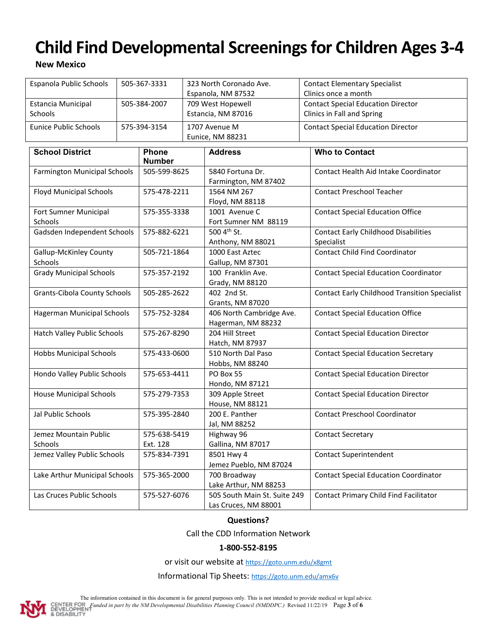# **New Mexico**

| Espanola Public Schools             | 505-367-3331 |               | 323 North Coronado Ave. |                                       | <b>Contact Elementary Specialist</b>                 |  |
|-------------------------------------|--------------|---------------|-------------------------|---------------------------------------|------------------------------------------------------|--|
|                                     |              |               | Espanola, NM 87532      |                                       | Clinics once a month                                 |  |
| <b>Estancia Municipal</b>           | 505-384-2007 |               | 709 West Hopewell       |                                       | <b>Contact Special Education Director</b>            |  |
| Schools                             |              |               |                         | Estancia, NM 87016                    | Clinics in Fall and Spring                           |  |
| <b>Eunice Public Schools</b>        |              | 575-394-3154  |                         | 1707 Avenue M                         | <b>Contact Special Education Director</b>            |  |
|                                     |              |               |                         | Eunice, NM 88231                      |                                                      |  |
| <b>School District</b>              |              | <b>Phone</b>  |                         | <b>Address</b>                        | <b>Who to Contact</b>                                |  |
|                                     |              | <b>Number</b> |                         |                                       |                                                      |  |
| <b>Farmington Municipal Schools</b> |              | 505-599-8625  |                         | 5840 Fortuna Dr.                      | Contact Health Aid Intake Coordinator                |  |
|                                     |              |               |                         | Farmington, NM 87402                  |                                                      |  |
| <b>Floyd Municipal Schools</b>      |              | 575-478-2211  |                         | 1564 NM 267                           | <b>Contact Preschool Teacher</b>                     |  |
|                                     |              |               |                         | Floyd, NM 88118                       |                                                      |  |
| Fort Sumner Municipal               |              | 575-355-3338  |                         | 1001 Avenue C                         | <b>Contact Special Education Office</b>              |  |
| Schools                             |              |               |                         | Fort Sumner NM 88119                  |                                                      |  |
| Gadsden Independent Schools         |              | 575-882-6221  |                         | 500 4th St.                           | <b>Contact Early Childhood Disabilities</b>          |  |
|                                     |              |               |                         | Anthony, NM 88021                     | Specialist                                           |  |
| <b>Gallup-McKinley County</b>       |              | 505-721-1864  |                         | 1000 East Aztec                       | <b>Contact Child Find Coordinator</b>                |  |
| <b>Schools</b>                      |              |               |                         | Gallup, NM 87301                      |                                                      |  |
| <b>Grady Municipal Schools</b>      |              | 575-357-2192  |                         | 100 Franklin Ave.                     | <b>Contact Special Education Coordinator</b>         |  |
|                                     |              |               |                         | Grady, NM 88120                       |                                                      |  |
| <b>Grants-Cibola County Schools</b> |              | 505-285-2622  |                         | 402 2nd St.                           | <b>Contact Early Childhood Transition Specialist</b> |  |
|                                     |              |               |                         | <b>Grants, NM 87020</b>               |                                                      |  |
| Hagerman Municipal Schools          |              | 575-752-3284  |                         | 406 North Cambridge Ave.              | <b>Contact Special Education Office</b>              |  |
|                                     |              |               |                         | Hagerman, NM 88232<br>204 Hill Street |                                                      |  |
| Hatch Valley Public Schools         |              | 575-267-8290  |                         | Hatch, NM 87937                       | <b>Contact Special Education Director</b>            |  |
| <b>Hobbs Municipal Schools</b>      |              | 575-433-0600  |                         | 510 North Dal Paso                    | <b>Contact Special Education Secretary</b>           |  |
|                                     |              |               |                         | Hobbs, NM 88240                       |                                                      |  |
| Hondo Valley Public Schools         |              | 575-653-4411  |                         | PO Box 55                             | <b>Contact Special Education Director</b>            |  |
|                                     |              |               |                         | Hondo, NM 87121                       |                                                      |  |
| <b>House Municipal Schools</b>      |              | 575-279-7353  |                         | 309 Apple Street                      | <b>Contact Special Education Director</b>            |  |
|                                     |              |               |                         | House, NM 88121                       |                                                      |  |
| Jal Public Schools                  |              | 575-395-2840  |                         | 200 E. Panther                        | <b>Contact Preschool Coordinator</b>                 |  |
|                                     |              |               |                         | Jal, NM 88252                         |                                                      |  |
| Jemez Mountain Public               |              | 575-638-5419  |                         | Highway 96                            | <b>Contact Secretary</b>                             |  |
| Schools                             |              | Ext. 128      |                         | Gallina, NM 87017                     |                                                      |  |
| Jemez Valley Public Schools         | 575-834-7391 |               |                         | 8501 Hwy 4                            | <b>Contact Superintendent</b>                        |  |
|                                     |              |               |                         | Jemez Pueblo, NM 87024                |                                                      |  |
| Lake Arthur Municipal Schools       |              | 575-365-2000  |                         | 700 Broadway                          | <b>Contact Special Education Coordinator</b>         |  |
|                                     |              |               |                         | Lake Arthur, NM 88253                 |                                                      |  |
| Las Cruces Public Schools           |              | 575-527-6076  |                         | 505 South Main St. Suite 249          | Contact Primary Child Find Facilitator               |  |
|                                     |              |               |                         | Las Cruces, NM 88001                  |                                                      |  |

## **Questions?**

Call the CDD Information Network

#### **1-800-552-8195**

or visit our website a[t https://goto.unm.edu/x8gmt](https://goto.unm.edu/x8gmt)

Informational Tip Sheets[: https://goto.unm.edu/amx6v](https://goto.unm.edu/amx6v)



The information contained in this document is for general purposes only. This is not intended to provide medical or legal advice. **FUNDED FUNDED IN A 100 CONTER FOR Funded in part by the NM Developmental Disabilities Planning Council (NMDDPC.) Revised 11/22/19 Page <b>3** of **6**<br>**8** BISABILITY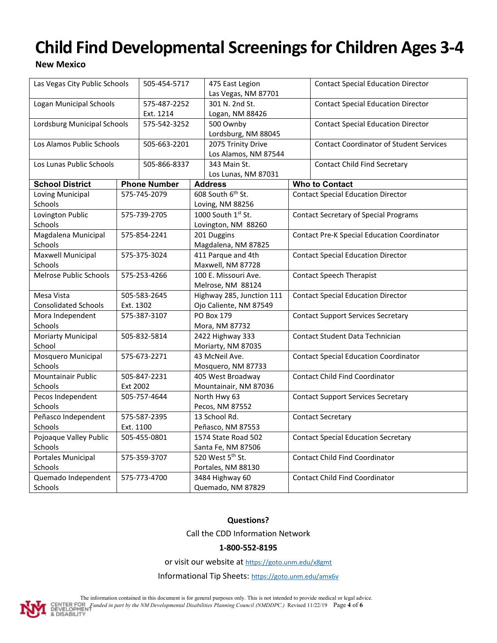# **New Mexico**

| Las Vegas City Public Schools  | 505-454-5717 |                     |                      | 475 East Legion<br>Las Vegas, NM 87701     |  | <b>Contact Special Education Director</b>          |
|--------------------------------|--------------|---------------------|----------------------|--------------------------------------------|--|----------------------------------------------------|
| <b>Logan Municipal Schools</b> |              | 575-487-2252        |                      | 301 N. 2nd St.                             |  | <b>Contact Special Education Director</b>          |
|                                |              | Ext. 1214           |                      |                                            |  |                                                    |
| Lordsburg Municipal Schools    |              | 575-542-3252        |                      | Logan, NM 88426<br>500 Ownby               |  | <b>Contact Special Education Director</b>          |
|                                |              |                     |                      | Lordsburg, NM 88045                        |  |                                                    |
| Los Alamos Public Schools      |              | 505-663-2201        |                      |                                            |  | <b>Contact Coordinator of Student Services</b>     |
|                                |              |                     |                      | 2075 Trinity Drive<br>Los Alamos, NM 87544 |  |                                                    |
| Los Lunas Public Schools       |              | 505-866-8337        |                      | 343 Main St.                               |  | <b>Contact Child Find Secretary</b>                |
|                                |              |                     | Los Lunas, NM 87031  |                                            |  |                                                    |
| <b>School District</b>         |              | <b>Phone Number</b> |                      | <b>Address</b>                             |  | <b>Who to Contact</b>                              |
| Loving Municipal               |              | 575-745-2079        |                      | 608 South 6th St.                          |  | <b>Contact Special Education Director</b>          |
| Schools                        |              |                     |                      | Loving, NM 88256                           |  |                                                    |
| Lovington Public               |              | 575-739-2705        |                      | 1000 South 1st St.                         |  | <b>Contact Secretary of Special Programs</b>       |
| Schools                        |              |                     |                      | Lovington, NM 88260                        |  |                                                    |
| Magdalena Municipal            |              | 575-854-2241        | 201 Duggins          |                                            |  | <b>Contact Pre-K Special Education Coordinator</b> |
| Schools                        |              |                     |                      | Magdalena, NM 87825                        |  |                                                    |
| Maxwell Municipal              |              | 575-375-3024        | 411 Parque and 4th   |                                            |  | <b>Contact Special Education Director</b>          |
| Schools                        |              |                     | Maxwell, NM 87728    |                                            |  |                                                    |
| <b>Melrose Public Schools</b>  |              | 575-253-4266        | 100 E. Missouri Ave. |                                            |  | <b>Contact Speech Therapist</b>                    |
|                                |              |                     |                      | Melrose, NM 88124                          |  |                                                    |
| Mesa Vista                     |              | 505-583-2645        |                      | Highway 285, Junction 111                  |  | <b>Contact Special Education Director</b>          |
| <b>Consolidated Schools</b>    |              | Ext. 1302           |                      | Ojo Caliente, NM 87549                     |  |                                                    |
| Mora Independent               |              | 575-387-3107        |                      | PO Box 179                                 |  | <b>Contact Support Services Secretary</b>          |
| Schools                        |              |                     |                      | Mora, NM 87732                             |  |                                                    |
| Moriarty Municipal             | 505-832-5814 |                     | 2422 Highway 333     |                                            |  | <b>Contact Student Data Technician</b>             |
| School                         |              |                     |                      | Moriarty, NM 87035                         |  |                                                    |
| Mosquero Municipal             | 575-673-2271 |                     | 43 McNeil Ave.       |                                            |  | <b>Contact Special Education Coordinator</b>       |
| Schools                        |              |                     |                      | Mosquero, NM 87733                         |  |                                                    |
| Mountainair Public             | 505-847-2231 |                     | 405 West Broadway    |                                            |  | <b>Contact Child Find Coordinator</b>              |
| Schools                        |              | Ext 2002            |                      | Mountainair, NM 87036                      |  |                                                    |
| Pecos Independent              |              | 505-757-4644        |                      | North Hwy 63                               |  | <b>Contact Support Services Secretary</b>          |
| Schools                        |              |                     |                      | Pecos, NM 87552                            |  |                                                    |
| Peñasco Independent            |              | 575-587-2395        |                      | 13 School Rd.                              |  | <b>Contact Secretary</b>                           |
| Schools                        |              | Ext. 1100           |                      | Peñasco, NM 87553                          |  |                                                    |
| Pojoaque Valley Public         |              | 505-455-0801        |                      | 1574 State Road 502                        |  | <b>Contact Special Education Secretary</b>         |
| Schools                        |              |                     |                      | Santa Fe, NM 87506                         |  |                                                    |
| Portales Municipal             | 575-359-3707 |                     |                      | 520 West 5th St.                           |  | <b>Contact Child Find Coordinator</b>              |
| Schools                        |              |                     |                      | Portales, NM 88130                         |  |                                                    |
| Quemado Independent            | 575-773-4700 |                     |                      | 3484 Highway 60                            |  | <b>Contact Child Find Coordinator</b>              |
| Schools                        |              |                     |                      | Quemado, NM 87829                          |  |                                                    |

**Questions?**

Call the CDD Information Network

## **1-800-552-8195**

or visit our website a[t https://goto.unm.edu/x8gmt](https://goto.unm.edu/x8gmt)

Informational Tip Sheets[: https://goto.unm.edu/amx6v](https://goto.unm.edu/amx6v)



The information contained in this document is for general purposes only. This is not intended to provide medical or legal advice. **FUNDED FUNDED IN A 100 CONTER FOR Funded in part by the NM Developmental Disabilities Planning Council (NMDDPC.) Revised 11/22/19 Page <b>4** of **6**<br>**8** BISABILITY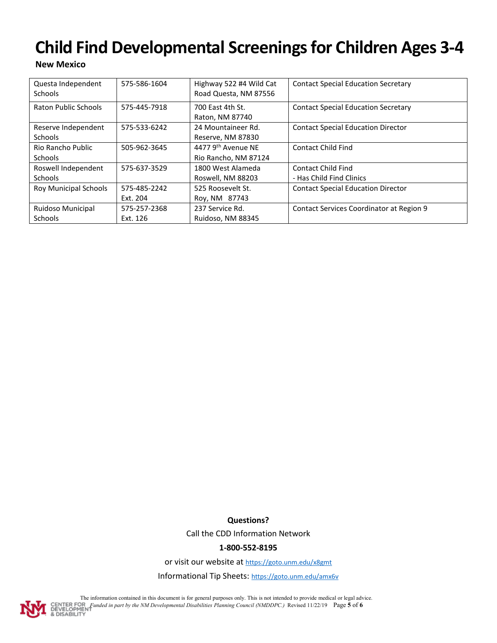## **New Mexico**

| Questa Independent<br><b>Schools</b> | 575-586-1604             | Highway 522 #4 Wild Cat<br>Road Questa, NM 87556 | <b>Contact Special Education Secretary</b>            |
|--------------------------------------|--------------------------|--------------------------------------------------|-------------------------------------------------------|
| Raton Public Schools                 | 575-445-7918             | 700 East 4th St.<br>Raton, NM 87740              | <b>Contact Special Education Secretary</b>            |
| Reserve Independent<br>Schools       | 575-533-6242             | 24 Mountaineer Rd.<br>Reserve, NM 87830          | <b>Contact Special Education Director</b>             |
| Rio Rancho Public<br><b>Schools</b>  | 505-962-3645             | 4477 9th Avenue NF<br>Rio Rancho, NM 87124       | <b>Contact Child Find</b>                             |
| Roswell Independent<br>Schools       | 575-637-3529             | 1800 West Alameda<br>Roswell, NM 88203           | <b>Contact Child Find</b><br>- Has Child Find Clinics |
| <b>Roy Municipal Schools</b>         | 575-485-2242<br>Ext. 204 | 525 Roosevelt St.<br>Roy, NM 87743               | <b>Contact Special Education Director</b>             |
| Ruidoso Municipal<br><b>Schools</b>  | 575-257-2368<br>Ext. 126 | 237 Service Rd.<br>Ruidoso, NM 88345             | Contact Services Coordinator at Region 9              |

**Questions?**

Call the CDD Information Network

## **1-800-552-8195**

or visit our website a[t https://goto.unm.edu/x8gmt](https://goto.unm.edu/x8gmt)

Informational Tip Sheets[: https://goto.unm.edu/amx6v](https://goto.unm.edu/amx6v)



The information contained in this document is for general purposes only. This is not intended to provide medical or legal advice. **FUNDED FUNDED IN A 100 CONTER FOR Funded in part by the NM Developmental Disabilities Planning Council (NMDDPC.) Revised 11/22/19 Page 5 of 6<br><b>8** DISABILITY